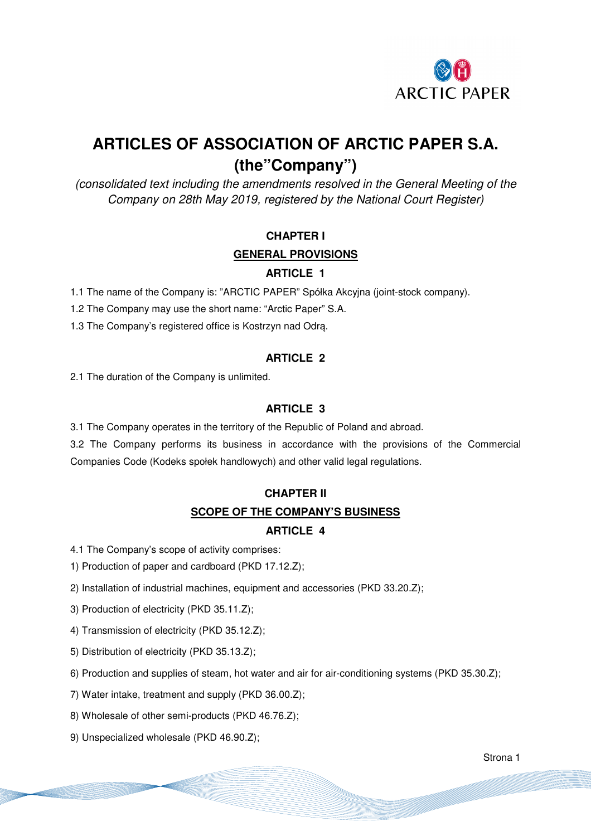

# **ARTICLES OF ASSOCIATION OF ARCTIC PAPER S.A. (the"Company")**

(consolidated text including the amendments resolved in the General Meeting of the Company on 28th May 2019, registered by the National Court Register)

# **CHAPTER I GENERAL PROVISIONS ARTICLE 1**

1.1 The name of the Company is: "ARCTIC PAPER" Spółka Akcyjna (joint-stock company).

1.2 The Company may use the short name: "Arctic Paper" S.A.

1.3 The Company's registered office is Kostrzyn nad Odrą.

#### **ARTICLE 2**

2.1 The duration of the Company is unlimited.

#### **ARTICLE 3**

3.1 The Company operates in the territory of the Republic of Poland and abroad.

3.2 The Company performs its business in accordance with the provisions of the Commercial Companies Code (Kodeks społek handlowych) and other valid legal regulations.

# **CHAPTER II SCOPE OF THE COMPANY'S BUSINESS ARTICLE 4**

4.1 The Company's scope of activity comprises:

1) Production of paper and cardboard (PKD 17.12.Z);

2) Installation of industrial machines, equipment and accessories (PKD 33.20.Z);

3) Production of electricity (PKD 35.11.Z);

4) Transmission of electricity (PKD 35.12.Z);

5) Distribution of electricity (PKD 35.13.Z);

6) Production and supplies of steam, hot water and air for air-conditioning systems (PKD 35.30.Z);

7) Water intake, treatment and supply (PKD 36.00.Z);

8) Wholesale of other semi-products (PKD 46.76.Z);

9) Unspecialized wholesale (PKD 46.90.Z);

Strona 1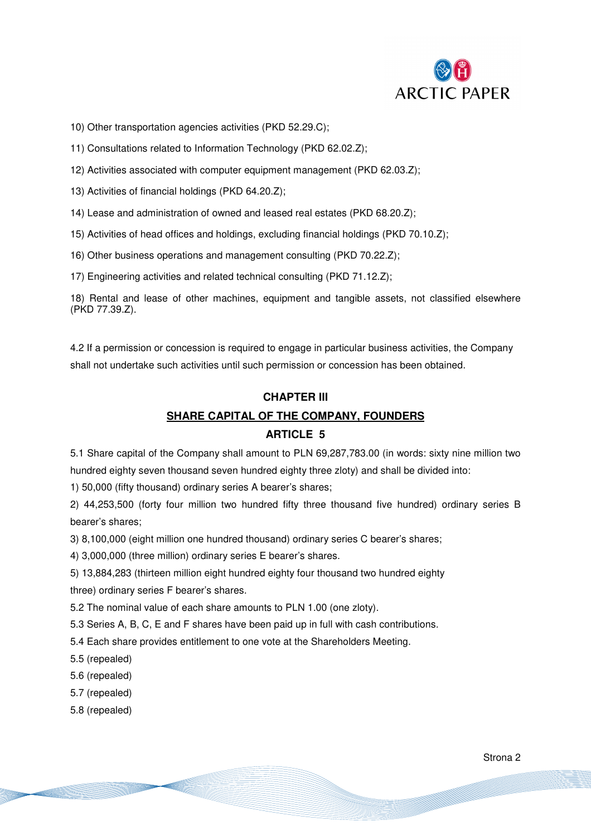

10) Other transportation agencies activities (PKD 52.29.C);

11) Consultations related to Information Technology (PKD 62.02.Z);

- 12) Activities associated with computer equipment management (PKD 62.03.Z);
- 13) Activities of financial holdings (PKD 64.20.Z);
- 14) Lease and administration of owned and leased real estates (PKD 68.20.Z);
- 15) Activities of head offices and holdings, excluding financial holdings (PKD 70.10.Z);
- 16) Other business operations and management consulting (PKD 70.22.Z);
- 17) Engineering activities and related technical consulting (PKD 71.12.Z);

18) Rental and lease of other machines, equipment and tangible assets, not classified elsewhere (PKD 77.39.Z).

4.2 If a permission or concession is required to engage in particular business activities, the Company shall not undertake such activities until such permission or concession has been obtained.

# **CHAPTER III SHARE CAPITAL OF THE COMPANY, FOUNDERS**

#### **ARTICLE 5**

5.1 Share capital of the Company shall amount to PLN 69,287,783.00 (in words: sixty nine million two hundred eighty seven thousand seven hundred eighty three zloty) and shall be divided into:

1) 50,000 (fifty thousand) ordinary series A bearer's shares;

2) 44,253,500 (forty four million two hundred fifty three thousand five hundred) ordinary series B bearer's shares;

3) 8,100,000 (eight million one hundred thousand) ordinary series C bearer's shares;

4) 3,000,000 (three million) ordinary series E bearer's shares.

5) 13,884,283 (thirteen million eight hundred eighty four thousand two hundred eighty

three) ordinary series F bearer's shares.

5.2 The nominal value of each share amounts to PLN 1.00 (one zloty).

5.3 Series A, B, C, E and F shares have been paid up in full with cash contributions.

5.4 Each share provides entitlement to one vote at the Shareholders Meeting.

- 5.5 (repealed)
- 5.6 (repealed)
- 5.7 (repealed)
- 5.8 (repealed)

Strona 2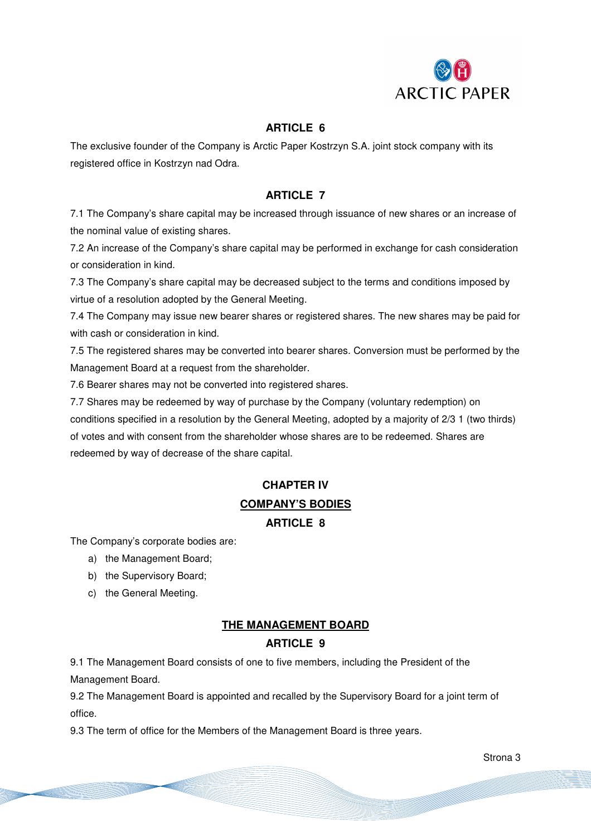

#### **ARTICLE 6**

The exclusive founder of the Company is Arctic Paper Kostrzyn S.A. joint stock company with its registered office in Kostrzyn nad Odra.

#### **ARTICLE 7**

7.1 The Company's share capital may be increased through issuance of new shares or an increase of the nominal value of existing shares.

7.2 An increase of the Company's share capital may be performed in exchange for cash consideration or consideration in kind.

7.3 The Company's share capital may be decreased subject to the terms and conditions imposed by virtue of a resolution adopted by the General Meeting.

7.4 The Company may issue new bearer shares or registered shares. The new shares may be paid for with cash or consideration in kind.

7.5 The registered shares may be converted into bearer shares. Conversion must be performed by the Management Board at a request from the shareholder.

7.6 Bearer shares may not be converted into registered shares.

7.7 Shares may be redeemed by way of purchase by the Company (voluntary redemption) on conditions specified in a resolution by the General Meeting, adopted by a majority of 2/3 1 (two thirds) of votes and with consent from the shareholder whose shares are to be redeemed. Shares are redeemed by way of decrease of the share capital.

## **CHAPTER IV COMPANY'S BODIES**

#### **ARTICLE 8**

The Company's corporate bodies are:

- a) the Management Board;
- b) the Supervisory Board;
- c) the General Meeting.

#### **THE MANAGEMENT BOARD**

#### **ARTICLE 9**

9.1 The Management Board consists of one to five members, including the President of the Management Board.

9.2 The Management Board is appointed and recalled by the Supervisory Board for a joint term of office.

9.3 The term of office for the Members of the Management Board is three years.

Strona 3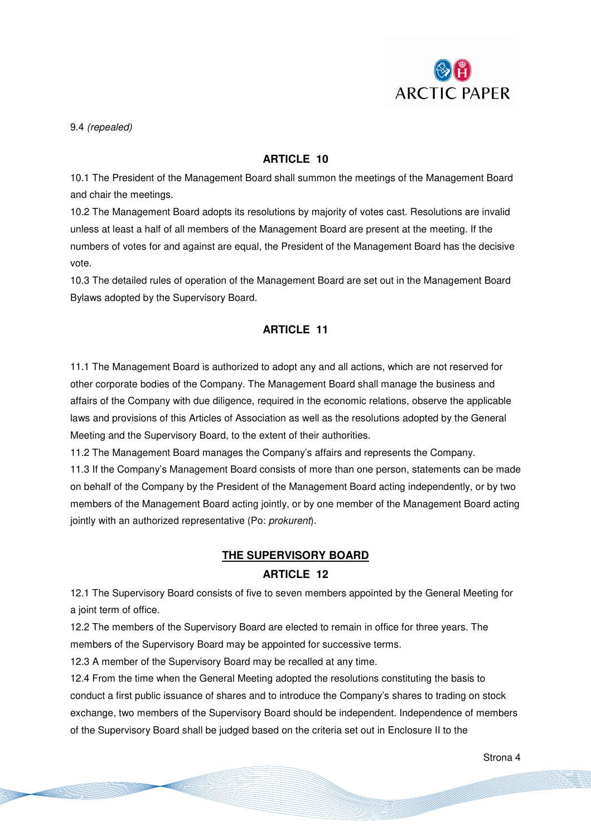

9.4 (repealed)

#### **ARTICLE 10**

10.1 The President of the Management Board shall summon the meetings of the Management Board and chair the meetings.

10.2 The Management Board adopts its resolutions by majority of votes cast. Resolutions are invalid unless at least a half of all members of the Management Board are present at the meeting. If the numbers of votes for and against are equal, the President of the Management Board has the decisive vote.

10.3 The detailed rules of operation of the Management Board are set out in the Management Board Bylaws adopted by the Supervisory Board.

#### **ARTICLE 11**

11.1 The Management Board is authorized to adopt any and all actions, which are not reserved for other corporate bodies of the Company. The Management Board shall manage the business and affairs of the Company with due diligence, required in the economic relations, observe the applicable laws and provisions of this Articles of Association as well as the resolutions adopted by the General Meeting and the Supervisory Board, to the extent of their authorities.

11.2 The Management Board manages the Company's affairs and represents the Company.

11.3 If the Company's Management Board consists of more than one person, statements can be made on behalf of the Company by the President of the Management Board acting independently, or by two members of the Management Board acting jointly, or by one member of the Management Board acting jointly with an authorized representative (Po: prokurent).

#### **THE SUPERVISORY BOARD**

#### **ARTICLE 12**

12.1 The Supervisory Board consists of five to seven members appointed by the General Meeting for a joint term of office.

12.2 The members of the Supervisory Board are elected to remain in office for three years. The members of the Supervisory Board may be appointed for successive terms.

12.3 A member of the Supervisory Board may be recalled at any time.

12.4 From the time when the General Meeting adopted the resolutions constituting the basis to conduct a first public issuance of shares and to introduce the Company's shares to trading on stock exchange, two members of the Supervisory Board should be independent. Independence of members of the Supervisory Board shall be judged based on the criteria set out in Enclosure II to the

Strona 4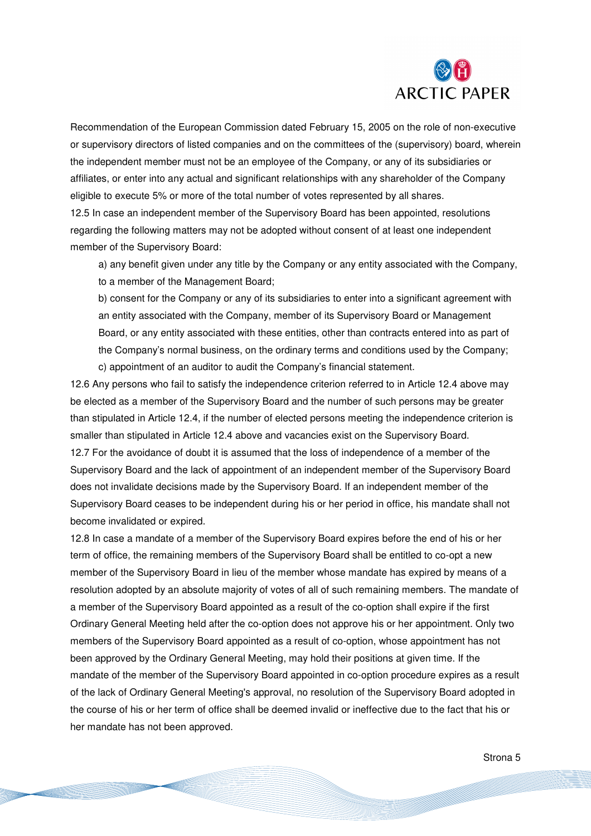

Recommendation of the European Commission dated February 15, 2005 on the role of non-executive or supervisory directors of listed companies and on the committees of the (supervisory) board, wherein the independent member must not be an employee of the Company, or any of its subsidiaries or affiliates, or enter into any actual and significant relationships with any shareholder of the Company eligible to execute 5% or more of the total number of votes represented by all shares.

12.5 In case an independent member of the Supervisory Board has been appointed, resolutions regarding the following matters may not be adopted without consent of at least one independent member of the Supervisory Board:

a) any benefit given under any title by the Company or any entity associated with the Company, to a member of the Management Board;

b) consent for the Company or any of its subsidiaries to enter into a significant agreement with an entity associated with the Company, member of its Supervisory Board or Management Board, or any entity associated with these entities, other than contracts entered into as part of the Company's normal business, on the ordinary terms and conditions used by the Company; c) appointment of an auditor to audit the Company's financial statement.

12.6 Any persons who fail to satisfy the independence criterion referred to in Article 12.4 above may be elected as a member of the Supervisory Board and the number of such persons may be greater than stipulated in Article 12.4, if the number of elected persons meeting the independence criterion is smaller than stipulated in Article 12.4 above and vacancies exist on the Supervisory Board. 12.7 For the avoidance of doubt it is assumed that the loss of independence of a member of the Supervisory Board and the lack of appointment of an independent member of the Supervisory Board does not invalidate decisions made by the Supervisory Board. If an independent member of the Supervisory Board ceases to be independent during his or her period in office, his mandate shall not become invalidated or expired.

12.8 In case a mandate of a member of the Supervisory Board expires before the end of his or her term of office, the remaining members of the Supervisory Board shall be entitled to co-opt a new member of the Supervisory Board in lieu of the member whose mandate has expired by means of a resolution adopted by an absolute majority of votes of all of such remaining members. The mandate of a member of the Supervisory Board appointed as a result of the co-option shall expire if the first Ordinary General Meeting held after the co-option does not approve his or her appointment. Only two members of the Supervisory Board appointed as a result of co-option, whose appointment has not been approved by the Ordinary General Meeting, may hold their positions at given time. If the mandate of the member of the Supervisory Board appointed in co-option procedure expires as a result of the lack of Ordinary General Meeting's approval, no resolution of the Supervisory Board adopted in the course of his or her term of office shall be deemed invalid or ineffective due to the fact that his or her mandate has not been approved.

Strona 5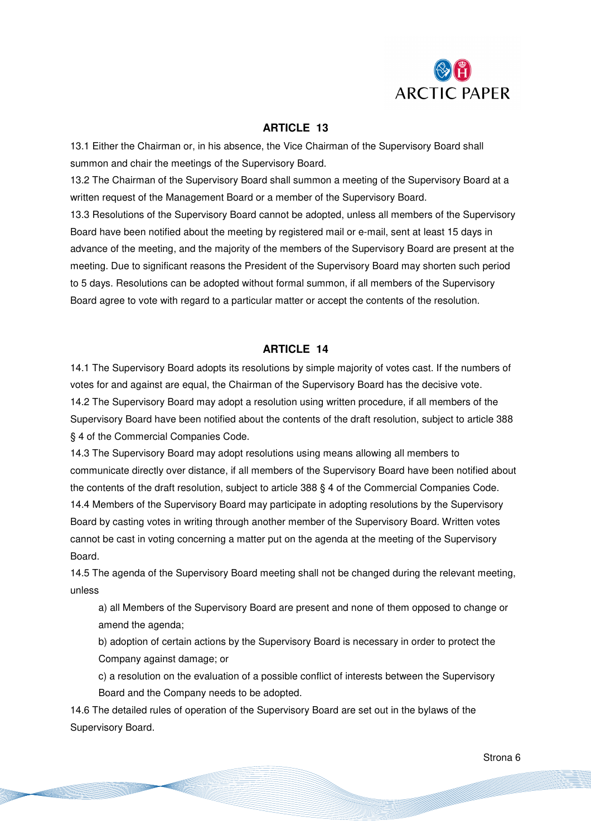

#### **ARTICLE 13**

13.1 Either the Chairman or, in his absence, the Vice Chairman of the Supervisory Board shall summon and chair the meetings of the Supervisory Board.

13.2 The Chairman of the Supervisory Board shall summon a meeting of the Supervisory Board at a written request of the Management Board or a member of the Supervisory Board.

13.3 Resolutions of the Supervisory Board cannot be adopted, unless all members of the Supervisory Board have been notified about the meeting by registered mail or e-mail, sent at least 15 days in advance of the meeting, and the majority of the members of the Supervisory Board are present at the meeting. Due to significant reasons the President of the Supervisory Board may shorten such period to 5 days. Resolutions can be adopted without formal summon, if all members of the Supervisory Board agree to vote with regard to a particular matter or accept the contents of the resolution.

#### **ARTICLE 14**

14.1 The Supervisory Board adopts its resolutions by simple majority of votes cast. If the numbers of votes for and against are equal, the Chairman of the Supervisory Board has the decisive vote. 14.2 The Supervisory Board may adopt a resolution using written procedure, if all members of the Supervisory Board have been notified about the contents of the draft resolution, subject to article 388 § 4 of the Commercial Companies Code.

14.3 The Supervisory Board may adopt resolutions using means allowing all members to communicate directly over distance, if all members of the Supervisory Board have been notified about the contents of the draft resolution, subject to article 388 § 4 of the Commercial Companies Code.

14.4 Members of the Supervisory Board may participate in adopting resolutions by the Supervisory Board by casting votes in writing through another member of the Supervisory Board. Written votes cannot be cast in voting concerning a matter put on the agenda at the meeting of the Supervisory Board.

14.5 The agenda of the Supervisory Board meeting shall not be changed during the relevant meeting, unless

a) all Members of the Supervisory Board are present and none of them opposed to change or amend the agenda;

b) adoption of certain actions by the Supervisory Board is necessary in order to protect the Company against damage; or

c) a resolution on the evaluation of a possible conflict of interests between the Supervisory Board and the Company needs to be adopted.

14.6 The detailed rules of operation of the Supervisory Board are set out in the bylaws of the Supervisory Board.

Strona 6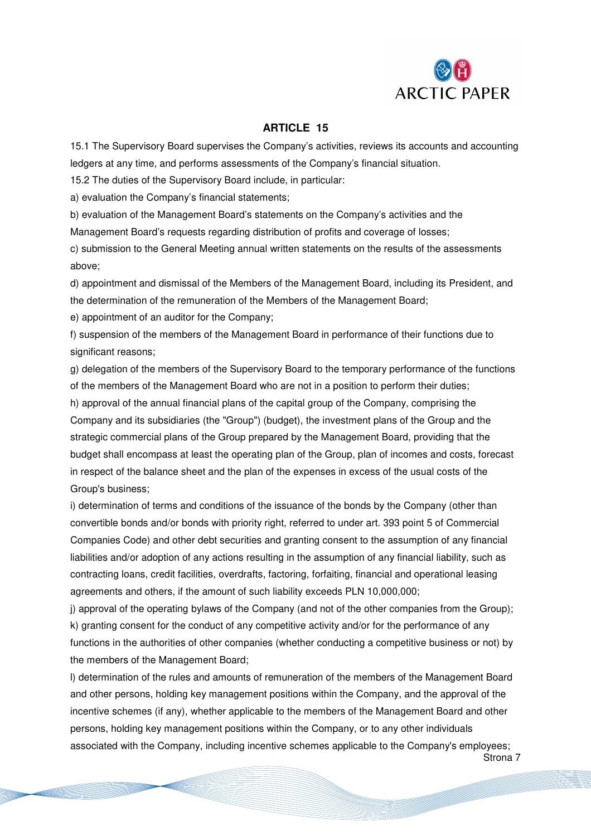

#### **ARTICLE 15**

15.1 The Supervisory Board supervises the Company's activities, reviews its accounts and accounting ledgers at any time, and performs assessments of the Company's financial situation.

15.2 The duties of the Supervisory Board include, in particular:

a) evaluation the Company's financial statements;

b) evaluation of the Management Board's statements on the Company's activities and the Management Board's requests regarding distribution of profits and coverage of losses;

c) submission to the General Meeting annual written statements on the results of the assessments above;

d) appointment and dismissal of the Members of the Management Board, including its President, and the determination of the remuneration of the Members of the Management Board;

e) appointment of an auditor for the Company;

f) suspension of the members of the Management Board in performance of their functions due to significant reasons;

g) delegation of the members of the Supervisory Board to the temporary performance of the functions of the members of the Management Board who are not in a position to perform their duties;

h) approval of the annual financial plans of the capital group of the Company, comprising the Company and its subsidiaries (the "Group") (budget), the investment plans of the Group and the strategic commercial plans of the Group prepared by the Management Board, providing that the budget shall encompass at least the operating plan of the Group, plan of incomes and costs, forecast in respect of the balance sheet and the plan of the expenses in excess of the usual costs of the Group's business;

i) determination of terms and conditions of the issuance of the bonds by the Company (other than convertible bonds and/or bonds with priority right, referred to under art. 393 point 5 of Commercial Companies Code) and other debt securities and granting consent to the assumption of any financial liabilities and/or adoption of any actions resulting in the assumption of any financial liability, such as contracting loans, credit facilities, overdrafts, factoring, forfaiting, financial and operational leasing agreements and others, if the amount of such liability exceeds PLN 10,000,000;

j) approval of the operating bylaws of the Company (and not of the other companies from the Group); k) granting consent for the conduct of any competitive activity and/or for the performance of any functions in the authorities of other companies (whether conducting a competitive business or not) by the members of the Management Board;

l) determination of the rules and amounts of remuneration of the members of the Management Board and other persons, holding key management positions within the Company, and the approval of the incentive schemes (if any), whether applicable to the members of the Management Board and other persons, holding key management positions within the Company, or to any other individuals associated with the Company, including incentive schemes applicable to the Company's employees;

Strona 7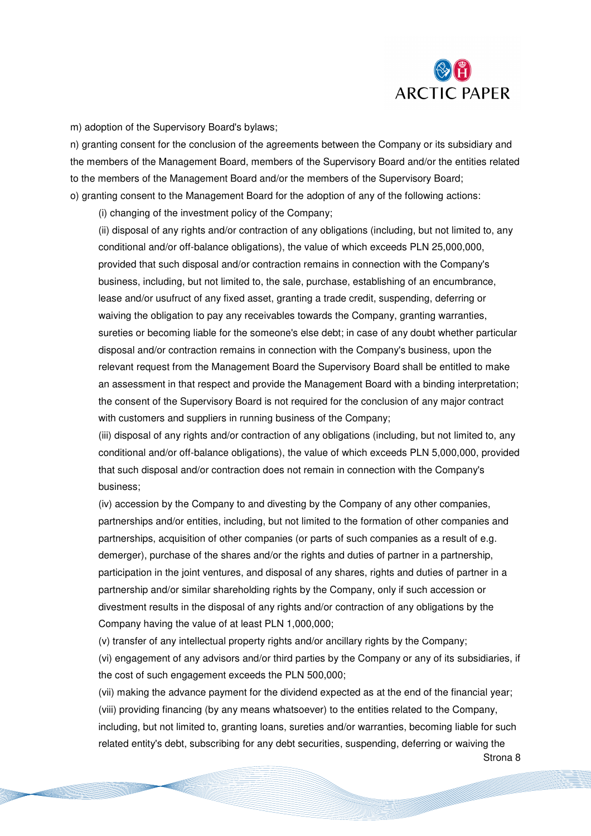

Strona 8

m) adoption of the Supervisory Board's bylaws;

n) granting consent for the conclusion of the agreements between the Company or its subsidiary and the members of the Management Board, members of the Supervisory Board and/or the entities related to the members of the Management Board and/or the members of the Supervisory Board; o) granting consent to the Management Board for the adoption of any of the following actions:

(i) changing of the investment policy of the Company;

(ii) disposal of any rights and/or contraction of any obligations (including, but not limited to, any conditional and/or off-balance obligations), the value of which exceeds PLN 25,000,000, provided that such disposal and/or contraction remains in connection with the Company's business, including, but not limited to, the sale, purchase, establishing of an encumbrance, lease and/or usufruct of any fixed asset, granting a trade credit, suspending, deferring or waiving the obligation to pay any receivables towards the Company, granting warranties, sureties or becoming liable for the someone's else debt; in case of any doubt whether particular disposal and/or contraction remains in connection with the Company's business, upon the relevant request from the Management Board the Supervisory Board shall be entitled to make an assessment in that respect and provide the Management Board with a binding interpretation; the consent of the Supervisory Board is not required for the conclusion of any major contract with customers and suppliers in running business of the Company;

(iii) disposal of any rights and/or contraction of any obligations (including, but not limited to, any conditional and/or off-balance obligations), the value of which exceeds PLN 5,000,000, provided that such disposal and/or contraction does not remain in connection with the Company's business;

(iv) accession by the Company to and divesting by the Company of any other companies, partnerships and/or entities, including, but not limited to the formation of other companies and partnerships, acquisition of other companies (or parts of such companies as a result of e.g. demerger), purchase of the shares and/or the rights and duties of partner in a partnership, participation in the joint ventures, and disposal of any shares, rights and duties of partner in a partnership and/or similar shareholding rights by the Company, only if such accession or divestment results in the disposal of any rights and/or contraction of any obligations by the Company having the value of at least PLN 1,000,000;

(v) transfer of any intellectual property rights and/or ancillary rights by the Company;

(vi) engagement of any advisors and/or third parties by the Company or any of its subsidiaries, if the cost of such engagement exceeds the PLN 500,000;

(vii) making the advance payment for the dividend expected as at the end of the financial year; (viii) providing financing (by any means whatsoever) to the entities related to the Company, including, but not limited to, granting loans, sureties and/or warranties, becoming liable for such related entity's debt, subscribing for any debt securities, suspending, deferring or waiving the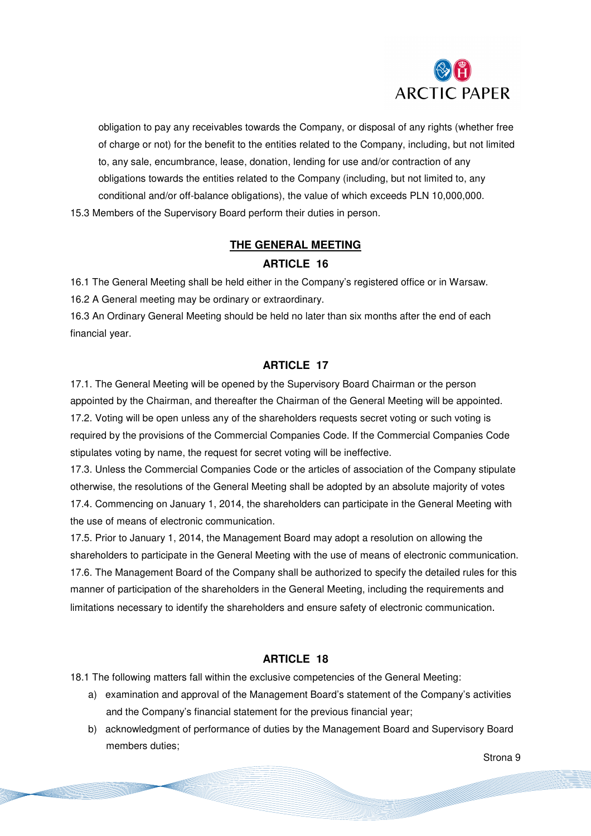

obligation to pay any receivables towards the Company, or disposal of any rights (whether free of charge or not) for the benefit to the entities related to the Company, including, but not limited to, any sale, encumbrance, lease, donation, lending for use and/or contraction of any obligations towards the entities related to the Company (including, but not limited to, any conditional and/or off-balance obligations), the value of which exceeds PLN 10,000,000. 15.3 Members of the Supervisory Board perform their duties in person.

## **THE GENERAL MEETING ARTICLE 16**

16.1 The General Meeting shall be held either in the Company's registered office or in Warsaw. 16.2 A General meeting may be ordinary or extraordinary.

16.3 An Ordinary General Meeting should be held no later than six months after the end of each financial year.

#### **ARTICLE 17**

17.1. The General Meeting will be opened by the Supervisory Board Chairman or the person appointed by the Chairman, and thereafter the Chairman of the General Meeting will be appointed. 17.2. Voting will be open unless any of the shareholders requests secret voting or such voting is required by the provisions of the Commercial Companies Code. If the Commercial Companies Code stipulates voting by name, the request for secret voting will be ineffective.

17.3. Unless the Commercial Companies Code or the articles of association of the Company stipulate otherwise, the resolutions of the General Meeting shall be adopted by an absolute majority of votes 17.4. Commencing on January 1, 2014, the shareholders can participate in the General Meeting with the use of means of electronic communication.

17.5. Prior to January 1, 2014, the Management Board may adopt a resolution on allowing the shareholders to participate in the General Meeting with the use of means of electronic communication. 17.6. The Management Board of the Company shall be authorized to specify the detailed rules for this manner of participation of the shareholders in the General Meeting, including the requirements and limitations necessary to identify the shareholders and ensure safety of electronic communication.

#### **ARTICLE 18**

18.1 The following matters fall within the exclusive competencies of the General Meeting:

- a) examination and approval of the Management Board's statement of the Company's activities and the Company's financial statement for the previous financial year;
- b) acknowledgment of performance of duties by the Management Board and Supervisory Board members duties;

Strona 9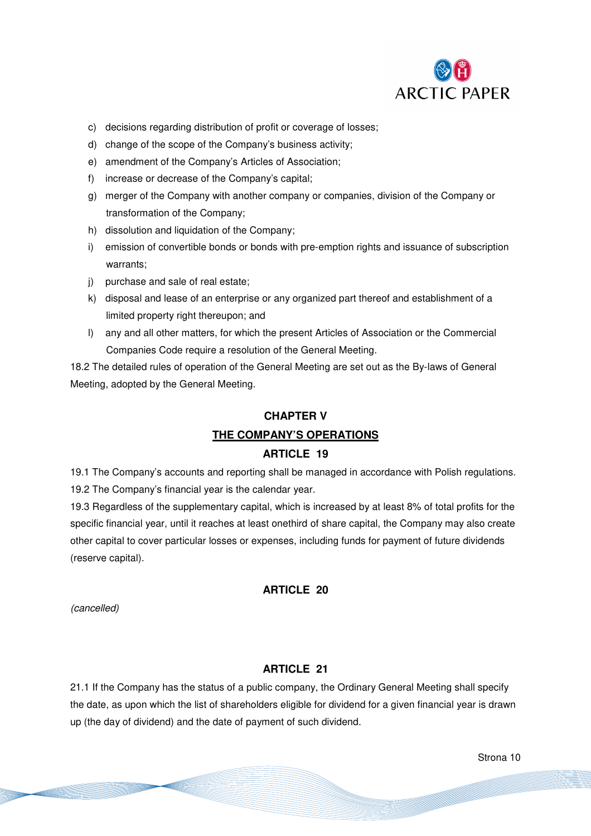

- c) decisions regarding distribution of profit or coverage of losses;
- d) change of the scope of the Company's business activity;
- e) amendment of the Company's Articles of Association;
- f) increase or decrease of the Company's capital;
- g) merger of the Company with another company or companies, division of the Company or transformation of the Company;
- h) dissolution and liquidation of the Company;
- i) emission of convertible bonds or bonds with pre-emption rights and issuance of subscription warrants;
- j) purchase and sale of real estate;
- k) disposal and lease of an enterprise or any organized part thereof and establishment of a limited property right thereupon; and
- l) any and all other matters, for which the present Articles of Association or the Commercial Companies Code require a resolution of the General Meeting.

18.2 The detailed rules of operation of the General Meeting are set out as the By-laws of General Meeting, adopted by the General Meeting.

# **CHAPTER V**

### **THE COMPANY'S OPERATIONS**

#### **ARTICLE 19**

19.1 The Company's accounts and reporting shall be managed in accordance with Polish regulations. 19.2 The Company's financial year is the calendar year.

19.3 Regardless of the supplementary capital, which is increased by at least 8% of total profits for the specific financial year, until it reaches at least onethird of share capital, the Company may also create other capital to cover particular losses or expenses, including funds for payment of future dividends (reserve capital).

#### **ARTICLE 20**

(cancelled)

#### **ARTICLE 21**

21.1 If the Company has the status of a public company, the Ordinary General Meeting shall specify the date, as upon which the list of shareholders eligible for dividend for a given financial year is drawn up (the day of dividend) and the date of payment of such dividend.

Strona 10